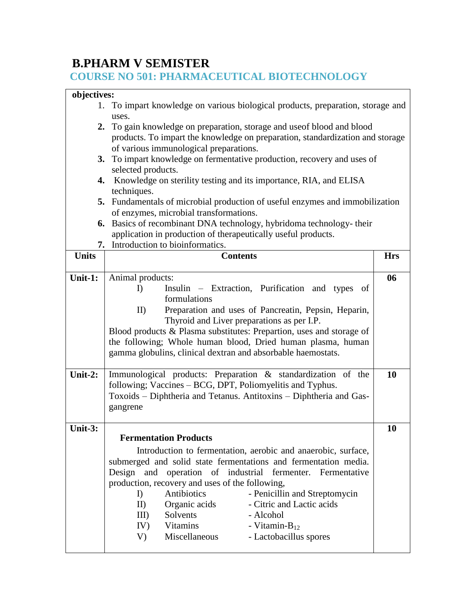# **B.PHARM V SEMISTER**

### **COURSE NO 501: PHARMACEUTICAL BIOTECHNOLOGY**

### **objectives:**

| 1. To impart knowledge on various biological products, preparation, storage and |
|---------------------------------------------------------------------------------|
| uses.                                                                           |
| 2. To gain knowledge on preparation, storage and use of blood and blood         |

- products. To impart the knowledge on preparation, standardization and storage of various immunological preparations.
- **3.** To impart knowledge on fermentative production, recovery and uses of selected products.
- **4.** Knowledge on sterility testing and its importance, RIA, and ELISA techniques.
- **5.** Fundamentals of microbial production of useful enzymes and immobilization of enzymes, microbial transformations.
- **6.** Basics of recombinant DNA technology, hybridoma technology- their application in production of therapeutically useful products.
- **7.** Introduction to bioinformatics.

| <b>Units</b> | <b>Contents</b>                                                      | <b>Hrs</b> |  |  |  |
|--------------|----------------------------------------------------------------------|------------|--|--|--|
|              |                                                                      |            |  |  |  |
| Unit-1:      | Animal products:                                                     | 06         |  |  |  |
|              | Insulin – Extraction, Purification and types of<br>$\Gamma$          |            |  |  |  |
|              | formulations                                                         |            |  |  |  |
|              | II<br>Preparation and uses of Pancreatin, Pepsin, Heparin,           |            |  |  |  |
|              | Thyroid and Liver preparations as per I.P.                           |            |  |  |  |
|              | Blood products & Plasma substitutes: Prepartion, uses and storage of |            |  |  |  |
|              | the following; Whole human blood, Dried human plasma, human          |            |  |  |  |
|              | gamma globulins, clinical dextran and absorbable haemostats.         |            |  |  |  |
|              |                                                                      |            |  |  |  |
| Unit-2:      | Immunological products: Preparation & standardization of the         | 10         |  |  |  |
|              | following; Vaccines – BCG, DPT, Poliomyelitis and Typhus.            |            |  |  |  |
|              | Toxoids - Diphtheria and Tetanus. Antitoxins - Diphtheria and Gas-   |            |  |  |  |
|              | gangrene                                                             |            |  |  |  |
|              |                                                                      |            |  |  |  |
| Unit-3:      |                                                                      | 10         |  |  |  |
|              | <b>Fermentation Products</b>                                         |            |  |  |  |
|              |                                                                      |            |  |  |  |
|              | Introduction to fermentation, aerobic and anaerobic, surface,        |            |  |  |  |
|              | submerged and solid state fermentations and fermentation media.      |            |  |  |  |
|              | Design and operation of industrial fermenter. Fermentative           |            |  |  |  |
|              | production, recovery and uses of the following,                      |            |  |  |  |
|              | Antibiotics<br>- Penicillin and Streptomycin<br>$\Gamma$             |            |  |  |  |
|              | Organic acids<br>- Citric and Lactic acids<br>$\mathbf{II}$          |            |  |  |  |
|              | III) Solvents<br>- Alcohol                                           |            |  |  |  |
|              | IV) Vitamins - Vitamin- $B_{12}$                                     |            |  |  |  |
|              | Miscellaneous<br>- Lactobacillus spores<br>V)                        |            |  |  |  |
|              |                                                                      |            |  |  |  |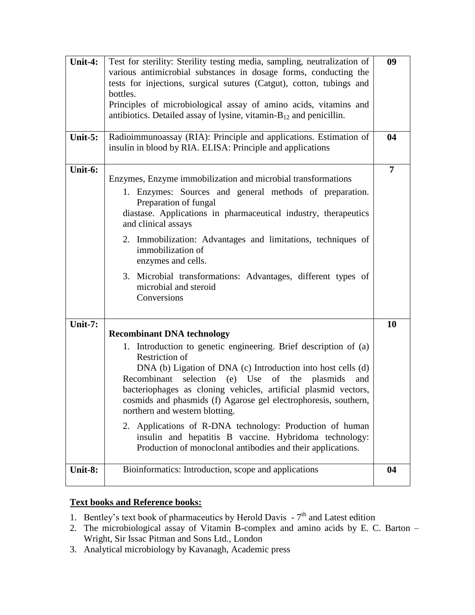| Unit-4:    | Test for sterility: Sterility testing media, sampling, neutralization of<br>various antimicrobial substances in dosage forms, conducting the<br>tests for injections, surgical sutures (Catgut), cotton, tubings and<br>bottles.<br>Principles of microbiological assay of amino acids, vitamins and<br>antibiotics. Detailed assay of lysine, vitamin- $B_{12}$ and penicillin.                                                                                                                                                                                                                                               | 09             |
|------------|--------------------------------------------------------------------------------------------------------------------------------------------------------------------------------------------------------------------------------------------------------------------------------------------------------------------------------------------------------------------------------------------------------------------------------------------------------------------------------------------------------------------------------------------------------------------------------------------------------------------------------|----------------|
| Unit- $5:$ | Radioimmunoassay (RIA): Principle and applications. Estimation of<br>insulin in blood by RIA. ELISA: Principle and applications                                                                                                                                                                                                                                                                                                                                                                                                                                                                                                | 04             |
| Unit-6:    | Enzymes, Enzyme immobilization and microbial transformations<br>1. Enzymes: Sources and general methods of preparation.<br>Preparation of fungal<br>diastase. Applications in pharmaceutical industry, therapeutics<br>and clinical assays<br>2. Immobilization: Advantages and limitations, techniques of<br>immobilization of<br>enzymes and cells.<br>3. Microbial transformations: Advantages, different types of<br>microbial and steroid<br>Conversions                                                                                                                                                                  | $\overline{7}$ |
| Unit-7:    | <b>Recombinant DNA technology</b><br>1. Introduction to genetic engineering. Brief description of (a)<br><b>Restriction of</b><br>DNA (b) Ligation of DNA (c) Introduction into host cells (d)<br>selection<br>$(e)$ Use<br>of the plasmids<br>Recombinant<br>and<br>bacteriophages as cloning vehicles, artificial plasmid vectors,<br>cosmids and phasmids (f) Agarose gel electrophoresis, southern,<br>northern and western blotting.<br>2. Applications of R-DNA technology: Production of human<br>insulin and hepatitis B vaccine. Hybridoma technology:<br>Production of monoclonal antibodies and their applications. | 10             |
| Unit-8:    | Bioinformatics: Introduction, scope and applications                                                                                                                                                                                                                                                                                                                                                                                                                                                                                                                                                                           | 04             |

## **Text books and Reference books:**

- 1. Bentley's text book of pharmaceutics by Herold Davis  $-7<sup>th</sup>$  and Latest edition
- 2. The microbiological assay of Vitamin B-complex and amino acids by E. C. Barton Wright, Sir Issac Pitman and Sons Ltd., London
- 3. Analytical microbiology by Kavanagh, Academic press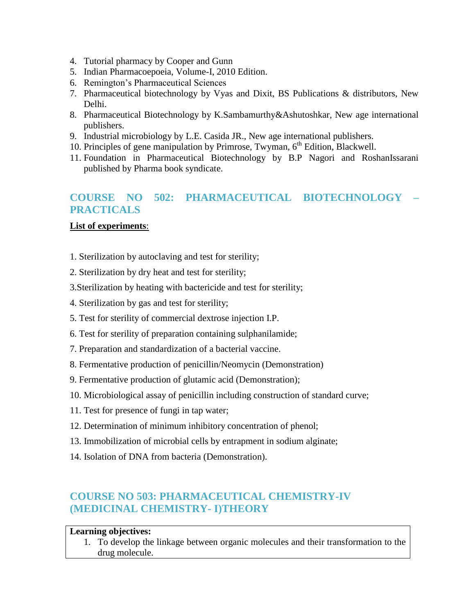- 4. Tutorial pharmacy by Cooper and Gunn
- 5. Indian Pharmacoepoeia, Volume-I, 2010 Edition.
- 6. Remington's Pharmaceutical Sciences
- 7. Pharmaceutical biotechnology by Vyas and Dixit, BS Publications & distributors, New Delhi.
- 8. Pharmaceutical Biotechnology by K.Sambamurthy&Ashutoshkar, New age international publishers.
- 9. Industrial microbiology by L.E. Casida JR., New age international publishers.
- 10. Principles of gene manipulation by Primrose, Twyman,  $6<sup>th</sup>$  Edition, Blackwell.
- 11. Foundation in Pharmaceutical Biotechnology by B.P Nagori and RoshanIssarani published by Pharma book syndicate.

# **COURSE NO 502: PHARMACEUTICAL BIOTECHNOLOGY – PRACTICALS**

### **List of experiments**:

- 1. Sterilization by autoclaving and test for sterility;
- 2. Sterilization by dry heat and test for sterility;
- 3.Sterilization by heating with bactericide and test for sterility;
- 4. Sterilization by gas and test for sterility;
- 5. Test for sterility of commercial dextrose injection I.P.
- 6. Test for sterility of preparation containing sulphanilamide;
- 7. Preparation and standardization of a bacterial vaccine.
- 8. Fermentative production of penicillin/Neomycin (Demonstration)
- 9. Fermentative production of glutamic acid (Demonstration);
- 10. Microbiological assay of penicillin including construction of standard curve;
- 11. Test for presence of fungi in tap water;
- 12. Determination of minimum inhibitory concentration of phenol;
- 13. Immobilization of microbial cells by entrapment in sodium alginate;
- 14. Isolation of DNA from bacteria (Demonstration).

# **COURSE NO 503: PHARMACEUTICAL CHEMISTRY-IV (MEDICINAL CHEMISTRY- I)THEORY**

#### **Learning objectives:**

1. To develop the linkage between organic molecules and their transformation to the drug molecule.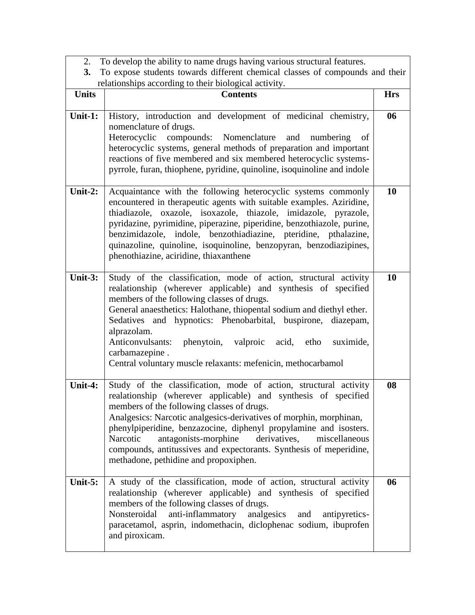|  |  |  | 2. To develop the ability to name drugs having various structural features. |  |
|--|--|--|-----------------------------------------------------------------------------|--|
|  |  |  |                                                                             |  |

|              | 3. To expose students towards different chemical classes of compounds and their                                                                                                                                                                                                                                                                                                                                                                                                                                 |            |  |  |
|--------------|-----------------------------------------------------------------------------------------------------------------------------------------------------------------------------------------------------------------------------------------------------------------------------------------------------------------------------------------------------------------------------------------------------------------------------------------------------------------------------------------------------------------|------------|--|--|
|              | relationships according to their biological activity.                                                                                                                                                                                                                                                                                                                                                                                                                                                           |            |  |  |
| <b>Units</b> | <b>Contents</b>                                                                                                                                                                                                                                                                                                                                                                                                                                                                                                 | <b>Hrs</b> |  |  |
| Unit-1:      | History, introduction and development of medicinal chemistry,<br>nomenclature of drugs.<br>Heterocyclic compounds: Nomenclature and numbering<br>of<br>heterocyclic systems, general methods of preparation and important<br>reactions of five membered and six membered heterocyclic systems-<br>pyrrole, furan, thiophene, pyridine, quinoline, isoquinoline and indole                                                                                                                                       | 06         |  |  |
| Unit-2:      | Acquaintance with the following heterocyclic systems commonly<br>encountered in therapeutic agents with suitable examples. Aziridine,<br>thiadiazole, oxazole, isoxazole, thiazole, imidazole, pyrazole,<br>pyridazine, pyrimidine, piperazine, piperidine, benzothiazole, purine,<br>benzimidazole, indole, benzothiadiazine, pteridine, pthalazine,<br>quinazoline, quinoline, isoquinoline, benzopyran, benzodiazipines,<br>phenothiazine, aciridine, thiaxanthene                                           | 10         |  |  |
| Unit- $3:$   | Study of the classification, mode of action, structural activity<br>realationship (wherever applicable) and synthesis of specified<br>members of the following classes of drugs.<br>General anaesthetics: Halothane, thiopental sodium and diethyl ether.<br>Sedatives and hypnotics: Phenobarbital, buspirone, diazepam,<br>alprazolam.<br>Anticonvulsants:<br>phenytoin, valproic acid, etho<br>suximide,<br>carbamazepine.<br>Central voluntary muscle relaxants: mefenicin, methocarbamol                   | 10         |  |  |
| Unit-4:      | Study of the classification, mode of action, structural activity<br>realationship (wherever applicable) and synthesis of specified<br>members of the following classes of drugs.<br>Analgesics: Narcotic analgesics-derivatives of morphin, morphinan,<br>phenylpiperidine, benzazocine, diphenyl propylamine and isosters.<br>antagonists-morphine<br>derivatives,<br>Narcotic<br>miscellaneous<br>compounds, antitussives and expectorants. Synthesis of meperidine,<br>methadone, pethidine and propoxiphen. | 08         |  |  |
| Unit-5:      | A study of the classification, mode of action, structural activity<br>realationship (wherever applicable) and synthesis of specified<br>members of the following classes of drugs.<br>Nonsteroidal<br>anti-inflammatory<br>analgesics and<br>antipyretics-<br>paracetamol, asprin, indomethacin, diclophenac sodium, ibuprofen<br>and piroxicam.                                                                                                                                                                | 06         |  |  |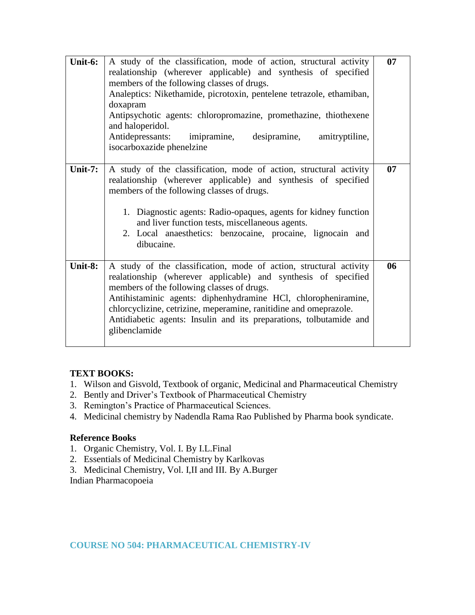| Unit-6:    | A study of the classification, mode of action, structural activity<br>realationship (wherever applicable) and synthesis of specified<br>members of the following classes of drugs.<br>Analeptics: Nikethamide, picrotoxin, pentelene tetrazole, ethamiban,<br>doxapram<br>Antipsychotic agents: chloropromazine, promethazine, thiothexene<br>and haloperidol.<br>Antidepressants:<br>imipramine, desipramine, amitryptiline,<br>isocarboxazide phenelzine | 07 |
|------------|------------------------------------------------------------------------------------------------------------------------------------------------------------------------------------------------------------------------------------------------------------------------------------------------------------------------------------------------------------------------------------------------------------------------------------------------------------|----|
| Unit- $7:$ | A study of the classification, mode of action, structural activity<br>realationship (wherever applicable) and synthesis of specified<br>members of the following classes of drugs.<br>1. Diagnostic agents: Radio-opaques, agents for kidney function<br>and liver function tests, miscellaneous agents.<br>2. Local anaesthetics: benzocaine, procaine, lignocain and<br>dibucaine.                                                                       | 07 |
| Unit-8:    | A study of the classification, mode of action, structural activity<br>realationship (wherever applicable) and synthesis of specified<br>members of the following classes of drugs.<br>Antihistaminic agents: diphenhydramine HCl, chloropheniramine,<br>chlorcyclizine, cetrizine, meperamine, ranitidine and omeprazole.<br>Antidiabetic agents: Insulin and its preparations, tolbutamide and<br>glibenclamide                                           | 06 |

#### **TEXT BOOKS:**

- 1. Wilson and Gisvold, Textbook of organic, Medicinal and Pharmaceutical Chemistry
- 2. Bently and Driver's Textbook of Pharmaceutical Chemistry
- 3. Remington's Practice of Pharmaceutical Sciences.
- 4. Medicinal chemistry by Nadendla Rama Rao Published by Pharma book syndicate.

#### **Reference Books**

- 1. Organic Chemistry, Vol. I. By I.L.Final
- 2. Essentials of Medicinal Chemistry by Karlkovas
- 3. Medicinal Chemistry, Vol. I,II and III. By A.Burger

Indian Pharmacopoeia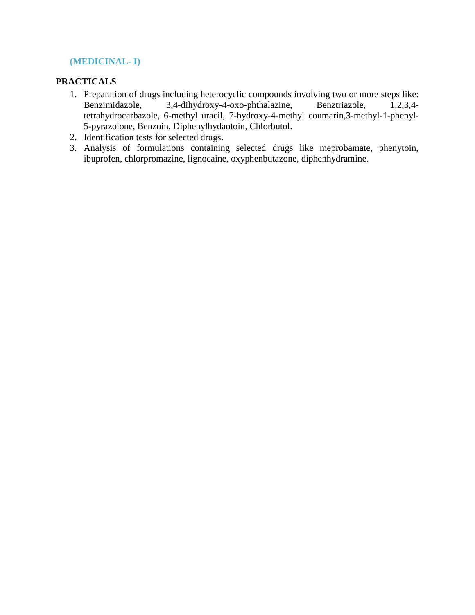### **(MEDICINAL- I)**

### **PRACTICALS**

- 1. Preparation of drugs including heterocyclic compounds involving two or more steps like: Benzimidazole, 3,4-dihydroxy-4-oxo-phthalazine, Benztriazole, 1,2,3,4 tetrahydrocarbazole, 6-methyl uracil, 7-hydroxy-4-methyl coumarin,3-methyl-1-phenyl-5-pyrazolone, Benzoin, Diphenylhydantoin, Chlorbutol.
- 2. Identification tests for selected drugs.
- 3. Analysis of formulations containing selected drugs like meprobamate, phenytoin, ibuprofen, chlorpromazine, lignocaine, oxyphenbutazone, diphenhydramine.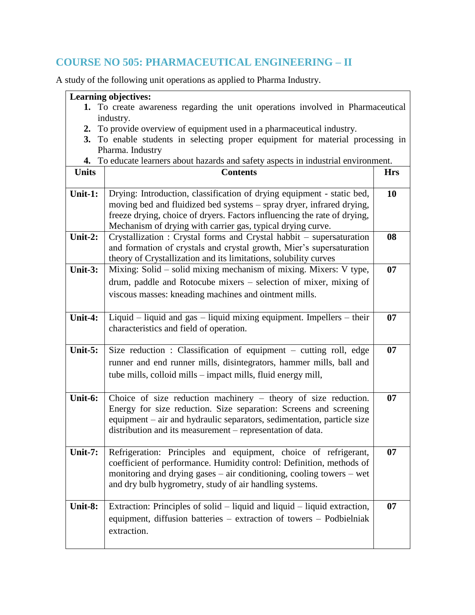# **COURSE NO 505: PHARMACEUTICAL ENGINEERING – II**

A study of the following unit operations as applied to Pharma Industry.

|              | <b>Learning objectives:</b>                                                        |            |  |  |  |
|--------------|------------------------------------------------------------------------------------|------------|--|--|--|
|              | 1. To create awareness regarding the unit operations involved in Pharmaceutical    |            |  |  |  |
| industry.    |                                                                                    |            |  |  |  |
|              | 2. To provide overview of equipment used in a pharmaceutical industry.             |            |  |  |  |
|              | 3. To enable students in selecting proper equipment for material processing in     |            |  |  |  |
|              | Pharma. Industry                                                                   |            |  |  |  |
|              | 4. To educate learners about hazards and safety aspects in industrial environment. |            |  |  |  |
| <b>Units</b> | <b>Contents</b>                                                                    | <b>Hrs</b> |  |  |  |
| Unit-1:      | Drying: Introduction, classification of drying equipment - static bed,             | 10         |  |  |  |
|              | moving bed and fluidized bed systems - spray dryer, infrared drying,               |            |  |  |  |
|              | freeze drying, choice of dryers. Factors influencing the rate of drying,           |            |  |  |  |
|              | Mechanism of drying with carrier gas, typical drying curve.                        |            |  |  |  |
| Unit-2:      | Crystallization : Crystal forms and Crystal habbit – supersaturation               | 08         |  |  |  |
|              | and formation of crystals and crystal growth, Mier's supersaturation               |            |  |  |  |
| Unit-3:      | theory of Crystallization and its limitations, solubility curves                   |            |  |  |  |
|              | Mixing: Solid – solid mixing mechanism of mixing. Mixers: V type,                  | 07         |  |  |  |
|              | drum, paddle and Rotocube mixers - selection of mixer, mixing of                   |            |  |  |  |
|              | viscous masses: kneading machines and ointment mills.                              |            |  |  |  |
| Unit-4:      | Liquid – liquid and gas – liquid mixing equipment. Impellers – their               | 07         |  |  |  |
|              | characteristics and field of operation.                                            |            |  |  |  |
|              |                                                                                    |            |  |  |  |
| Unit-5:      | Size reduction : Classification of equipment - cutting roll, edge                  | 07         |  |  |  |
|              | runner and end runner mills, disintegrators, hammer mills, ball and                |            |  |  |  |
|              | tube mills, colloid mills – impact mills, fluid energy mill,                       |            |  |  |  |
|              |                                                                                    |            |  |  |  |
| Unit-6:      | Choice of size reduction machinery $-$ theory of size reduction.                   | 07         |  |  |  |
|              | Energy for size reduction. Size separation: Screens and screening                  |            |  |  |  |
|              | equipment – air and hydraulic separators, sedimentation, particle size             |            |  |  |  |
|              | distribution and its measurement – representation of data.                         |            |  |  |  |
|              |                                                                                    |            |  |  |  |
| Unit-7:      | Refrigeration: Principles and equipment, choice of refrigerant,                    | 07         |  |  |  |
|              | coefficient of performance. Humidity control: Definition, methods of               |            |  |  |  |
|              | monitoring and drying gases $-$ air conditioning, cooling towers $-$ wet           |            |  |  |  |
|              | and dry bulb hygrometry, study of air handling systems.                            |            |  |  |  |
|              |                                                                                    |            |  |  |  |
| Unit-8:      | Extraction: Principles of solid – liquid and liquid – liquid extraction,           | 07         |  |  |  |
|              | equipment, diffusion batteries - extraction of towers - Podbielniak                |            |  |  |  |
|              | extraction.                                                                        |            |  |  |  |
|              |                                                                                    |            |  |  |  |
|              |                                                                                    |            |  |  |  |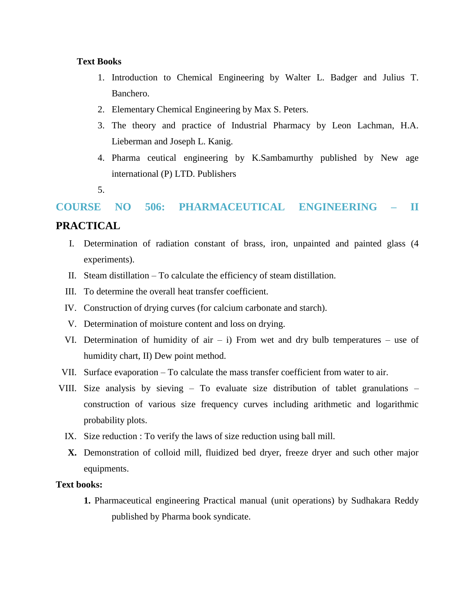#### **Text Books**

- 1. Introduction to Chemical Engineering by Walter L. Badger and Julius T. Banchero.
- 2. Elementary Chemical Engineering by Max S. Peters.
- 3. The theory and practice of Industrial Pharmacy by Leon Lachman, H.A. Lieberman and Joseph L. Kanig.
- 4. Pharma ceutical engineering by K.Sambamurthy published by New age international (P) LTD. Publishers
- 5.

# **COURSE NO 506: PHARMACEUTICAL ENGINEERING – II PRACTICAL**

- I. Determination of radiation constant of brass, iron, unpainted and painted glass (4 experiments).
- II. Steam distillation To calculate the efficiency of steam distillation.
- III. To determine the overall heat transfer coefficient.
- IV. Construction of drying curves (for calcium carbonate and starch).
- V. Determination of moisture content and loss on drying.
- VI. Determination of humidity of air  $-$  i) From wet and dry bulb temperatures  $-$  use of humidity chart, II) Dew point method.
- VII. Surface evaporation To calculate the mass transfer coefficient from water to air.
- VIII. Size analysis by sieving To evaluate size distribution of tablet granulations construction of various size frequency curves including arithmetic and logarithmic probability plots.
	- IX. Size reduction : To verify the laws of size reduction using ball mill.
	- **X.** Demonstration of colloid mill, fluidized bed dryer, freeze dryer and such other major equipments.

#### **Text books:**

**1.** Pharmaceutical engineering Practical manual (unit operations) by Sudhakara Reddy published by Pharma book syndicate.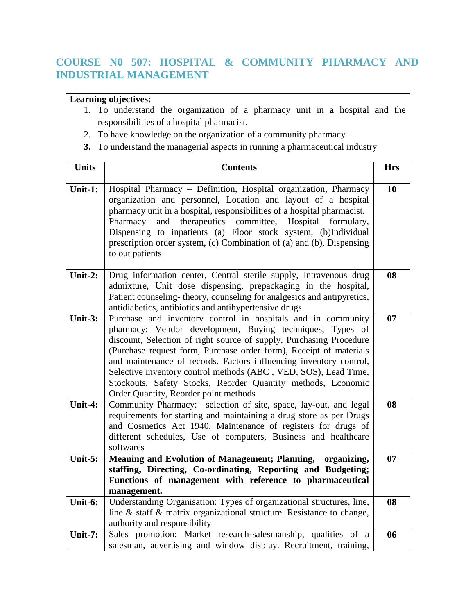# **COURSE N0 507: HOSPITAL & COMMUNITY PHARMACY AND INDUSTRIAL MANAGEMENT**

### **Learning objectives:**

- 1. To understand the organization of a pharmacy unit in a hospital and the responsibilities of a hospital pharmacist.
- 2. To have knowledge on the organization of a community pharmacy
- **3.** To understand the managerial aspects in running a pharmaceutical industry

| <b>Units</b> | <b>Contents</b>                                                                                                                                                                                                                                                                                                                                                                                                                                                                                                          | <b>Hrs</b> |
|--------------|--------------------------------------------------------------------------------------------------------------------------------------------------------------------------------------------------------------------------------------------------------------------------------------------------------------------------------------------------------------------------------------------------------------------------------------------------------------------------------------------------------------------------|------------|
| Unit-1:      | Hospital Pharmacy - Definition, Hospital organization, Pharmacy<br>organization and personnel, Location and layout of a hospital<br>pharmacy unit in a hospital, responsibilities of a hospital pharmacist.<br>therapeutics committee,<br>Pharmacy<br>and<br>Hospital formulary,<br>Dispensing to inpatients (a) Floor stock system, (b)Individual<br>prescription order system, (c) Combination of (a) and (b), Dispensing<br>to out patients                                                                           | 10         |
| Unit-2:      | Drug information center, Central sterile supply, Intravenous drug<br>admixture, Unit dose dispensing, prepackaging in the hospital,<br>Patient counseling-theory, counseling for analgesics and antipyretics,<br>antidiabetics, antibiotics and antihypertensive drugs.                                                                                                                                                                                                                                                  | 08         |
| Unit-3:      | Purchase and inventory control in hospitals and in community<br>pharmacy: Vendor development, Buying techniques, Types of<br>discount, Selection of right source of supply, Purchasing Procedure<br>(Purchase request form, Purchase order form), Receipt of materials<br>and maintenance of records. Factors influencing inventory control,<br>Selective inventory control methods (ABC, VED, SOS), Lead Time,<br>Stockouts, Safety Stocks, Reorder Quantity methods, Economic<br>Order Quantity, Reorder point methods | 07         |
| Unit-4:      | Community Pharmacy:- selection of site, space, lay-out, and legal<br>requirements for starting and maintaining a drug store as per Drugs<br>and Cosmetics Act 1940, Maintenance of registers for drugs of<br>different schedules, Use of computers, Business and healthcare<br>softwares                                                                                                                                                                                                                                 | 08         |
| Unit-5:      | Meaning and Evolution of Management; Planning,<br>organizing,<br>staffing, Directing, Co-ordinating, Reporting and Budgeting;<br>Functions of management with reference to pharmaceutical<br>management.                                                                                                                                                                                                                                                                                                                 | 07         |
| Unit-6:      | Understanding Organisation: Types of organizational structures, line,<br>line & staff & matrix organizational structure. Resistance to change,<br>authority and responsibility                                                                                                                                                                                                                                                                                                                                           | 08         |
| Unit-7:      | Sales promotion: Market research-salesmanship, qualities of a<br>salesman, advertising and window display. Recruitment, training,                                                                                                                                                                                                                                                                                                                                                                                        | 06         |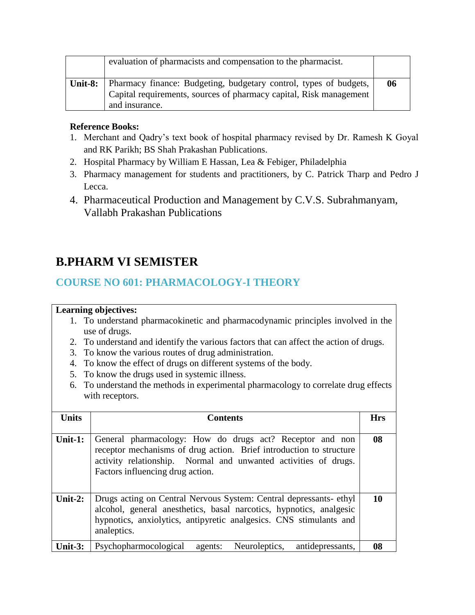|         | evaluation of pharmacists and compensation to the pharmacist.                                                                                             |    |
|---------|-----------------------------------------------------------------------------------------------------------------------------------------------------------|----|
| Unit-8: | Pharmacy finance: Budgeting, budgetary control, types of budgets,<br>Capital requirements, sources of pharmacy capital, Risk management<br>and insurance. | 06 |

### **Reference Books:**

- 1. Merchant and Qadry's text book of hospital pharmacy revised by Dr. Ramesh K Goyal and RK Parikh; BS Shah Prakashan Publications.
- 2. Hospital Pharmacy by William E Hassan, Lea & Febiger, Philadelphia
- 3. Pharmacy management for students and practitioners, by C. Patrick Tharp and Pedro J Lecca.
- 4. Pharmaceutical Production and Management by C.V.S. Subrahmanyam, Vallabh Prakashan Publications

# **B.PHARM VI SEMISTER**

# **COURSE NO 601: PHARMACOLOGY-I THEORY**

### **Learning objectives:**

- 1. To understand pharmacokinetic and pharmacodynamic principles involved in the use of drugs.
- 2. To understand and identify the various factors that can affect the action of drugs.
- 3. To know the various routes of drug administration.
- 4. To know the effect of drugs on different systems of the body.
- 5. To know the drugs used in systemic illness.
- 6. To understand the methods in experimental pharmacology to correlate drug effects with receptors.

| <b>Units</b> | <b>Contents</b>                                                                                                                                                                                                                        | <b>Hrs</b> |
|--------------|----------------------------------------------------------------------------------------------------------------------------------------------------------------------------------------------------------------------------------------|------------|
|              |                                                                                                                                                                                                                                        |            |
| Unit-1:      | General pharmacology: How do drugs act? Receptor and non<br>receptor mechanisms of drug action. Brief introduction to structure<br>activity relationship. Normal and unwanted activities of drugs.<br>Factors influencing drug action. | 08         |
| Unit-2:      | Drugs acting on Central Nervous System: Central depressants-ethyl<br>alcohol, general anesthetics, basal narcotics, hypnotics, analgesic<br>hypnotics, anxiolytics, antipyretic analgesics. CNS stimulants and<br>analeptics.          | 10         |
| Unit- $3:$   | Psychopharmocological<br>antidepressants,<br>Neuroleptics,<br>agents:                                                                                                                                                                  | 08         |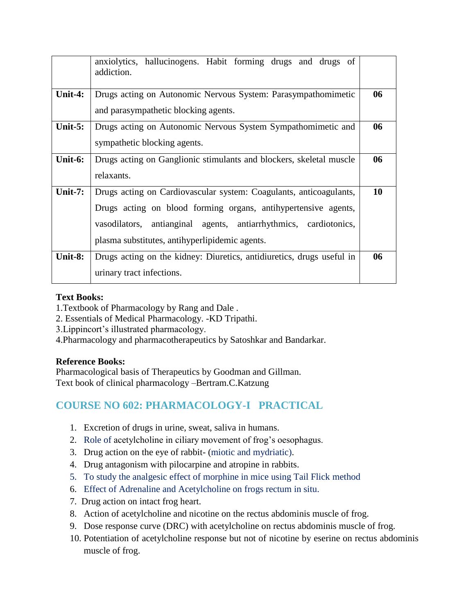|            | anxiolytics, hallucinogens. Habit forming drugs and drugs of<br>addiction.                                                                                                                                                                                 |    |
|------------|------------------------------------------------------------------------------------------------------------------------------------------------------------------------------------------------------------------------------------------------------------|----|
| Unit-4:    | Drugs acting on Autonomic Nervous System: Parasympathomimetic<br>and parasympathetic blocking agents.                                                                                                                                                      | 06 |
| Unit- $5:$ | Drugs acting on Autonomic Nervous System Sympathomimetic and<br>sympathetic blocking agents.                                                                                                                                                               | 06 |
| Unit-6:    | Drugs acting on Ganglionic stimulants and blockers, skeletal muscle<br>relaxants.                                                                                                                                                                          | 06 |
| Unit- $7:$ | Drugs acting on Cardiovascular system: Coagulants, anticoagulants,<br>Drugs acting on blood forming organs, antihypertensive agents,<br>vasodilators, antianginal agents, antiarrhythmics, cardiotonics,<br>plasma substitutes, antihyperlipidemic agents. | 10 |
| Unit-8:    | Drugs acting on the kidney: Diuretics, antidiuretics, drugs useful in<br>urinary tract infections.                                                                                                                                                         | 06 |

### **Text Books:**

- 1.Textbook of Pharmacology by Rang and Dale .
- 2. Essentials of Medical Pharmacology. -KD Tripathi.
- 3.Lippincort's illustrated pharmacology.
- 4.Pharmacology and pharmacotherapeutics by Satoshkar and Bandarkar.

### **Reference Books:**

Pharmacological basis of Therapeutics by Goodman and Gillman. Text book of clinical pharmacology –Bertram.C.Katzung

# **COURSE NO 602: PHARMACOLOGY-I PRACTICAL**

- 1. Excretion of drugs in urine, sweat, saliva in humans.
- 2. Role of acetylcholine in ciliary movement of frog's oesophagus.
- 3. Drug action on the eye of rabbit- (miotic and mydriatic).
- 4. Drug antagonism with pilocarpine and atropine in rabbits.
- 5. To study the analgesic effect of morphine in mice using Tail Flick method
- 6. Effect of Adrenaline and Acetylcholine on frogs rectum in situ.
- 7. Drug action on intact frog heart.
- 8. Action of acetylcholine and nicotine on the rectus abdominis muscle of frog.
- 9. Dose response curve (DRC) with acetylcholine on rectus abdominis muscle of frog.
- 10. Potentiation of acetylcholine response but not of nicotine by eserine on rectus abdominis muscle of frog.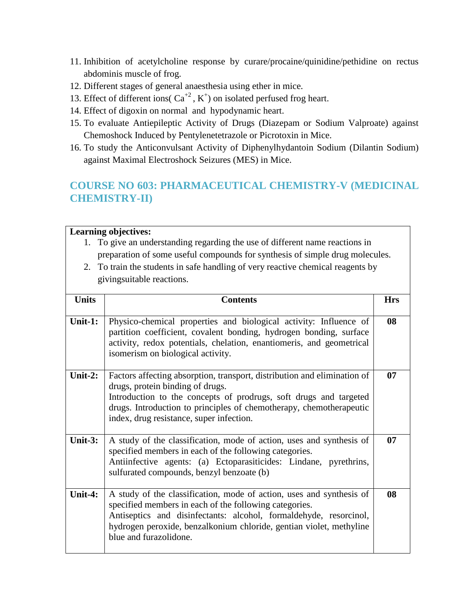- 11. Inhibition of acetylcholine response by curare/procaine/quinidine/pethidine on rectus abdominis muscle of frog.
- 12. Different stages of general anaesthesia using ether in mice.
- 13. Effect of different ions( $Ca^{+2}$ ,  $K^+$ ) on isolated perfused frog heart.
- 14. Effect of digoxin on normal and hypodynamic heart.
- 15. To evaluate Antiepileptic Activity of Drugs (Diazepam or Sodium Valproate) against Chemoshock Induced by Pentylenetetrazole or Picrotoxin in Mice.
- 16. To study the Anticonvulsant Activity of Diphenylhydantoin Sodium (Dilantin Sodium) against Maximal Electroshock Seizures (MES) in Mice.

# **COURSE NO 603: PHARMACEUTICAL CHEMISTRY-V (MEDICINAL CHEMISTRY-II)**

#### **Learning objectives:**

- 1. To give an understanding regarding the use of different name reactions in preparation of some useful compounds for synthesis of simple drug molecules.
- 2. To train the students in safe handling of very reactive chemical reagents by givingsuitable reactions.

| <b>Units</b> | <b>Contents</b>                                                                                                                                                                                                                                                                                      | <b>Hrs</b> |  |  |  |
|--------------|------------------------------------------------------------------------------------------------------------------------------------------------------------------------------------------------------------------------------------------------------------------------------------------------------|------------|--|--|--|
| Unit-1:      | Physico-chemical properties and biological activity: Influence of<br>partition coefficient, covalent bonding, hydrogen bonding, surface<br>activity, redox potentials, chelation, enantiomeris, and geometrical<br>isomerism on biological activity.                                                 | 08         |  |  |  |
| Unit-2:      | Factors affecting absorption, transport, distribution and elimination of<br>drugs, protein binding of drugs.<br>Introduction to the concepts of prodrugs, soft drugs and targeted<br>drugs. Introduction to principles of chemotherapy, chemotherapeutic<br>index, drug resistance, super infection. | 07         |  |  |  |
| Unit- $3:$   | A study of the classification, mode of action, uses and synthesis of<br>specified members in each of the following categories.<br>Antiinfective agents: (a) Ectoparasiticides: Lindane, pyrethrins,<br>sulfurated compounds, benzyl benzoate (b)                                                     | 07         |  |  |  |
| Unit-4:      | A study of the classification, mode of action, uses and synthesis of<br>specified members in each of the following categories.<br>Antiseptics and disinfectants: alcohol, formaldehyde, resorcinol,<br>hydrogen peroxide, benzalkonium chloride, gentian violet, methyline<br>blue and furazolidone. | 08         |  |  |  |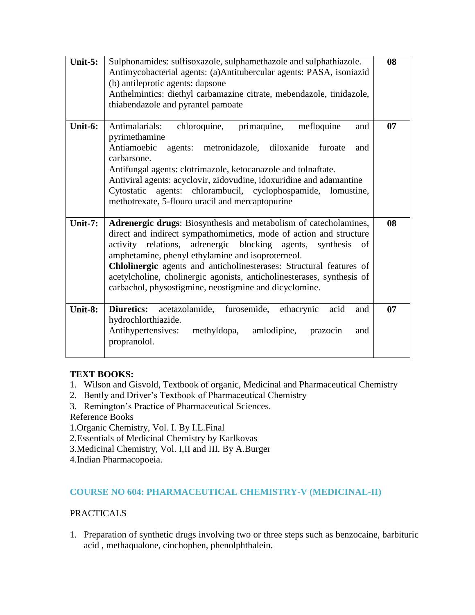| Unit- $5:$ | Sulphonamides: sulfisoxazole, sulphamethazole and sulphathiazole.<br>Antimycobacterial agents: (a)Antitubercular agents: PASA, isoniazid<br>(b) antileprotic agents: dapsone<br>Anthelmintics: diethyl carbamazine citrate, mebendazole, tinidazole,<br>thiabendazole and pyrantel pamoate                                                                                                                                                                                   | 08 |
|------------|------------------------------------------------------------------------------------------------------------------------------------------------------------------------------------------------------------------------------------------------------------------------------------------------------------------------------------------------------------------------------------------------------------------------------------------------------------------------------|----|
| Unit-6:    | chloroquine, primaquine,<br>Antimalarials:<br>mefloquine<br>and<br>pyrimethamine<br>Antiamoebic<br>agents: metronidazole, diloxanide<br>furoate<br>and<br>carbarsone.<br>Antifungal agents: clotrimazole, ketocanazole and tolnaftate.<br>Antiviral agents: acyclovir, zidovudine, idoxuridine and adamantine<br>Cytostatic agents: chlorambucil, cyclophospamide, lomustine,<br>methotrexate, 5-flouro uracil and mercaptopurine                                            | 07 |
| Unit-7:    | Adrenergic drugs: Biosynthesis and metabolism of catecholamines,<br>direct and indirect sympathomimetics, mode of action and structure<br>activity relations, adrenergic blocking agents,<br>synthesis<br>of<br>amphetamine, phenyl ethylamine and isoproterneol.<br>Chlolinergic agents and anticholinesterases: Structural features of<br>acetylcholine, cholinergic agonists, anticholinesterases, synthesis of<br>carbachol, physostigmine, neostigmine and dicyclomine. | 08 |
| Unit-8:    | <b>Diuretics:</b><br>acetazolamide,<br>furosemide, ethacrynic<br>acid<br>and<br>hydrochlorthiazide.<br>Antihypertensives:<br>methyldopa,<br>amlodipine,<br>prazocin<br>and<br>propranolol.                                                                                                                                                                                                                                                                                   | 07 |

### **TEXT BOOKS:**

- 1. Wilson and Gisvold, Textbook of organic, Medicinal and Pharmaceutical Chemistry
- 2. Bently and Driver's Textbook of Pharmaceutical Chemistry
- 3. Remington's Practice of Pharmaceutical Sciences.
- Reference Books
- 1.Organic Chemistry, Vol. I. By I.L.Final
- 2.Essentials of Medicinal Chemistry by Karlkovas
- 3.Medicinal Chemistry, Vol. I,II and III. By A.Burger
- 4.Indian Pharmacopoeia.

### **COURSE NO 604: PHARMACEUTICAL CHEMISTRY-V (MEDICINAL-II)**

### PRACTICALS

1. Preparation of synthetic drugs involving two or three steps such as benzocaine, barbituric acid , methaqualone, cinchophen, phenolphthalein.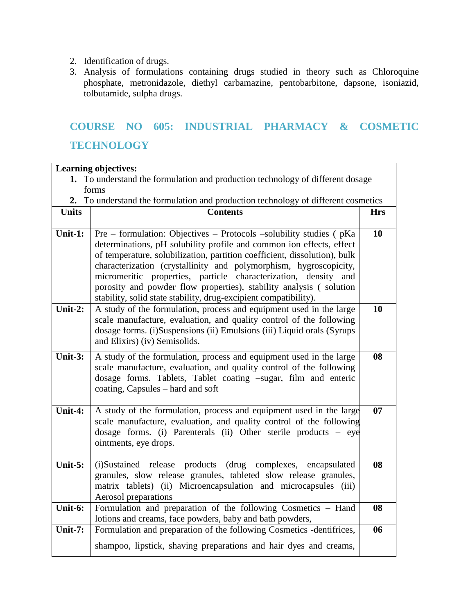- 2. Identification of drugs.
- 3. Analysis of formulations containing drugs studied in theory such as Chloroquine phosphate, metronidazole, diethyl carbamazine, pentobarbitone, dapsone, isoniazid, tolbutamide, sulpha drugs.

# **COURSE NO 605: INDUSTRIAL PHARMACY & COSMETIC TECHNOLOGY**

| <b>Learning objectives:</b>                                                       |                                                                                                                                                                                                                                                                                                                                                                                                                                                                                                           |            |  |  |
|-----------------------------------------------------------------------------------|-----------------------------------------------------------------------------------------------------------------------------------------------------------------------------------------------------------------------------------------------------------------------------------------------------------------------------------------------------------------------------------------------------------------------------------------------------------------------------------------------------------|------------|--|--|
| 1. To understand the formulation and production technology of different dosage    |                                                                                                                                                                                                                                                                                                                                                                                                                                                                                                           |            |  |  |
| forms                                                                             |                                                                                                                                                                                                                                                                                                                                                                                                                                                                                                           |            |  |  |
| 2. To understand the formulation and production technology of different cosmetics |                                                                                                                                                                                                                                                                                                                                                                                                                                                                                                           |            |  |  |
| <b>Units</b>                                                                      | <b>Contents</b>                                                                                                                                                                                                                                                                                                                                                                                                                                                                                           | <b>Hrs</b> |  |  |
| Unit-1:                                                                           | Pre – formulation: Objectives – Protocols –solubility studies (pKa<br>determinations, pH solubility profile and common ion effects, effect<br>of temperature, solubilization, partition coefficient, dissolution), bulk<br>characterization (crystallinity and polymorphism, hygroscopicity,<br>micromeritic properties, particle characterization, density and<br>porosity and powder flow properties), stability analysis (solution<br>stability, solid state stability, drug-excipient compatibility). | 10         |  |  |
| Unit-2:                                                                           | A study of the formulation, process and equipment used in the large<br>scale manufacture, evaluation, and quality control of the following<br>dosage forms. (i)Suspensions (ii) Emulsions (iii) Liquid orals (Syrups<br>and Elixirs) (iv) Semisolids.                                                                                                                                                                                                                                                     | 10         |  |  |
| Unit- $3:$                                                                        | A study of the formulation, process and equipment used in the large<br>scale manufacture, evaluation, and quality control of the following<br>dosage forms. Tablets, Tablet coating -sugar, film and enteric<br>coating, Capsules – hard and soft                                                                                                                                                                                                                                                         | 08         |  |  |
| Unit-4:                                                                           | A study of the formulation, process and equipment used in the large<br>scale manufacture, evaluation, and quality control of the following<br>dosage forms. (i) Parenterals (ii) Other sterile products - eye<br>ointments, eye drops.                                                                                                                                                                                                                                                                    | 07         |  |  |
| Unit-5:                                                                           | (i)Sustained release products (drug complexes, encapsulated<br>granules, slow release granules, tableted slow release granules,<br>matrix tablets) (ii) Microencapsulation and microcapsules (iii)<br>Aerosol preparations                                                                                                                                                                                                                                                                                | 08         |  |  |
| Unit-6:                                                                           | Formulation and preparation of the following Cosmetics - Hand<br>lotions and creams, face powders, baby and bath powders,                                                                                                                                                                                                                                                                                                                                                                                 | 08         |  |  |
| Unit-7:                                                                           | Formulation and preparation of the following Cosmetics -dentifrices,                                                                                                                                                                                                                                                                                                                                                                                                                                      | 06         |  |  |
|                                                                                   | shampoo, lipstick, shaving preparations and hair dyes and creams,                                                                                                                                                                                                                                                                                                                                                                                                                                         |            |  |  |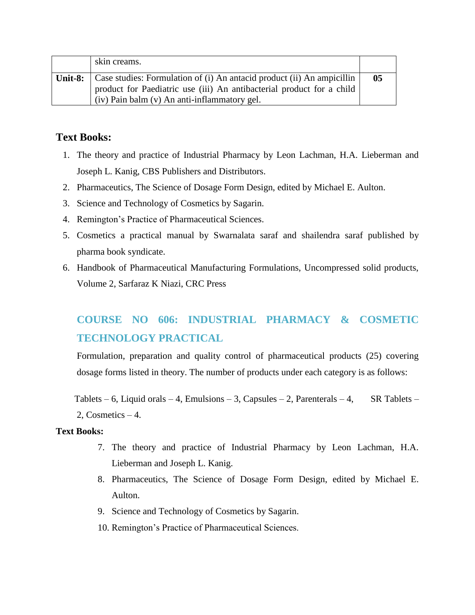| skin creams.                                                                                                                                                                                                   |    |
|----------------------------------------------------------------------------------------------------------------------------------------------------------------------------------------------------------------|----|
| <b>Unit-8:</b> Case studies: Formulation of (i) An antacid product (ii) An ampicillin<br>product for Paediatric use (iii) An antibacterial product for a child<br>(iv) Pain balm (v) An anti-inflammatory gel. | 05 |

### **Text Books:**

- 1. The theory and practice of Industrial Pharmacy by Leon Lachman, H.A. Lieberman and Joseph L. Kanig, CBS Publishers and Distributors.
- 2. Pharmaceutics, The Science of Dosage Form Design, edited by Michael E. Aulton.
- 3. Science and Technology of Cosmetics by Sagarin.
- 4. Remington's Practice of Pharmaceutical Sciences.
- 5. Cosmetics a practical manual by Swarnalata saraf and shailendra saraf published by pharma book syndicate.
- 6. Handbook of Pharmaceutical Manufacturing Formulations, Uncompressed solid products, Volume 2, Sarfaraz K Niazi, CRC Press

# **COURSE NO 606: INDUSTRIAL PHARMACY & COSMETIC TECHNOLOGY PRACTICAL**

Formulation, preparation and quality control of pharmaceutical products (25) covering dosage forms listed in theory. The number of products under each category is as follows:

Tablets – 6, Liquid orals – 4, Emulsions – 3, Capsules – 2, Parenterals – 4, SR Tablets – 2. Cosmetics  $-4$ .

#### **Text Books:**

- 7. The theory and practice of Industrial Pharmacy by Leon Lachman, H.A. Lieberman and Joseph L. Kanig.
- 8. Pharmaceutics, The Science of Dosage Form Design, edited by Michael E. Aulton.
- 9. Science and Technology of Cosmetics by Sagarin.
- 10. Remington's Practice of Pharmaceutical Sciences.